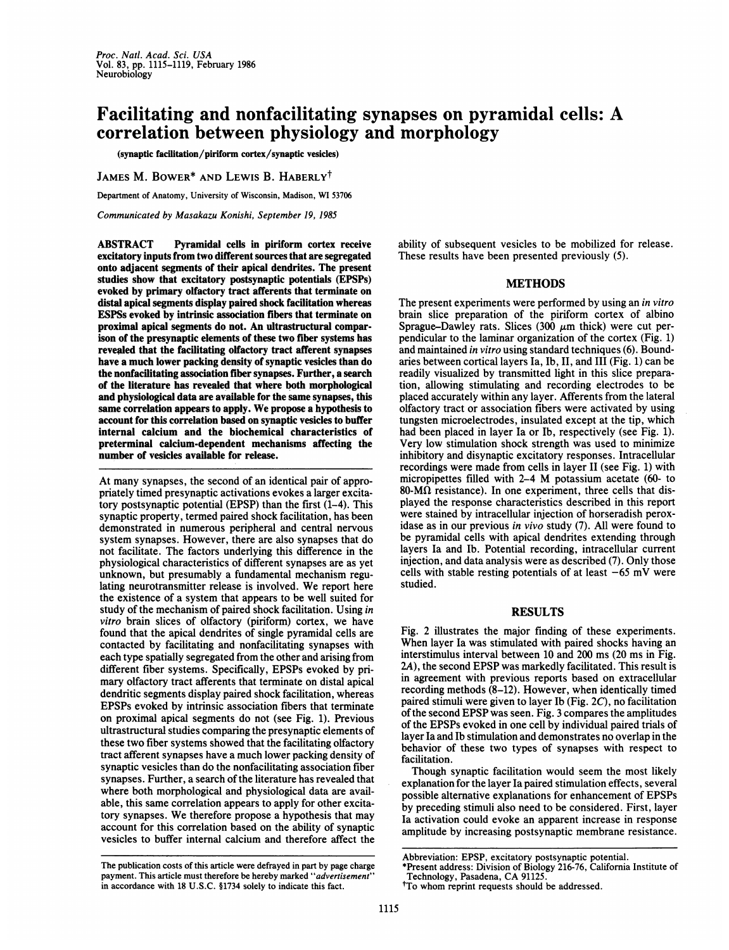## Facilitating and nonfacilitating synapses on pyramidal cells: A correlation between physiology and morphology

(synaptic facilitation/piriform cortex/synaptic vesicles)

JAMES M. BOWER<sup>\*</sup> AND LEWIS B. HABERLY<sup>†</sup>

Department of Anatomy, University of Wisconsin, Madison, WI 53706

Communicated by Masakazu Konishi, September 19, 1985

ABSTRACT Pyramidal cells in piriform cortex receive excitatory inputs from two different sources that are segregated onto adjacent segments of their apical dendrites. The present studies show that excitatory postsynaptic potentials (EPSPs) evoked by primary olfactory tract afferents that terminate on distal apical segments display paired shock facilitation whereas ESPSs evoked by intrinsic association fibers that terminate on proximal apical segments do not. An ultrastructural comparison of the presynaptic elements of these two fiber systems has revealed that the facilitating olfactory tract afferent synapses have a much lower packing density of synaptic vesicles than do the nonfacilitating association fiber synapses. Further, a search of the literature has revealed that where both morphological and physiological data are available for the same synapses, this same correlation appears to apply. We propose <sup>a</sup> hypothesis to account for this correlation based on synaptic vesicles to buffer internal calcium and the biochemical characteristics of preterminal calcium-dependent mechanisms affecting the number of vesicles available for release.

At many synapses, the second of an identical pair of appropriately timed presynaptic activations evokes a larger excitatory postsynaptic potential (EPSP) than the first (1-4). This synaptic property, termed paired shock facilitation, has been demonstrated in numerous peripheral and central nervous system synapses. However, there are also synapses that do not facilitate. The factors underlying this difference in the physiological characteristics of different synapses are as yet unknown, but presumably a fundamental mechanism regulating neurotransmitter release is involved. We report here the existence of a system that appears to be well suited for study of the mechanism of paired shock facilitation. Using in vitro brain slices of olfactory (piriform) cortex, we have found that the apical dendrites of single pyramidal cells are contacted by facilitating and nonfacilitating synapses with each type spatially segregated from the other and arising from different fiber systems. Specifically, EPSPs evoked by primary olfactory tract afferents that terminate on distal apical dendritic segments display paired shock facilitation, whereas EPSPs evoked by intrinsic association fibers that terminate on proximal apical segments do not (see Fig. 1). Previous ultrastructural studies comparing the presynaptic elements of these two fiber systems showed that the facilitating olfactory tract afferent synapses have a much lower packing density of synaptic vesicles than do the nonfacilitating association fiber synapses. Further, a search of the literature has revealed that where both morphological and physiological data are available, this same correlation appears to apply for other excitatory synapses. We therefore propose <sup>a</sup> hypothesis that may account for this correlation based on the ability of synaptic vesicles to buffer internal calcium and therefore affect the

The publication costs of this article were defrayed in part by page charge payment. This article must therefore be hereby marked "*advertisement*" in accordance with 18 U.S.C. §1734 solely to indicate this fact.

ability of subsequent vesicles to be mobilized for release. These results have been presented previously (5).

## METHODS

The present experiments were performed by using an in vitro brain slice preparation of the piriform cortex of albino Sprague-Dawley rats. Slices (300  $\mu$ m thick) were cut perpendicular to the laminar organization of the cortex (Fig. 1) and maintained in vitro using standard techniques (6). Boundaries between cortical layers Ia, lb, II, and III (Fig. 1) can be readily visualized by transmitted light in this slice preparation, allowing stimulating and recording electrodes to be placed accurately within any layer. Afferents from the lateral olfactory tract or association fibers were activated by using tungsten microelectrodes, insulated except at the tip, which had been placed in layer Ia or Tb, respectively (see Fig. 1). Very low stimulation shock strength was used to minimize inhibitory and disynaptic excitatory responses. Intracellular recordings were made from cells in layer TI (see Fig. 1) with micropipettes filled with 2-4 M potassium acetate (60- to 80-M $\Omega$  resistance). In one experiment, three cells that displayed the response characteristics described in this report were stained by intracellular injection of horseradish peroxidase as in our previous in vivo study (7). All were found to be pyramidal cells with apical dendrites extending through layers Ia and Ib. Potential recording, intracellular current injection, and data analysis were as described (7). Only those cells with stable resting potentials of at least  $-65$  mV were studied.

## RESULTS

Fig. 2 illustrates the major finding of these experiments. When layer Ia was stimulated with paired shocks having an interstimulus interval between 10 and 200 ms (20 ms in Fig. 2A), the second EPSP was markedly facilitated. This result is in agreement with previous reports based on extracellular recording methods (8-12). However, when identically timed paired stimuli were given to layer lb (Fig. 2C), no facilitation of the second EPSP was seen. Fig. <sup>3</sup> compares the amplitudes of the EPSPs evoked in one cell by individual paired trials of layer Ia and Tb stimulation and demonstrates no overlap in the behavior of these two types of synapses with respect to facilitation.

Though synaptic facilitation would seem the most likely explanation for the layer Ta paired stimulation effects, several possible alternative explanations for enhancement of EPSPs by preceding stimuli also need to be considered. First, layer Ta activation could evoke an apparent increase in response amplitude by increasing postsynaptic membrane resistance.

Abbreviation: EPSP, excitatory postsynaptic potential.

<sup>\*</sup>Present address: Division of Biology 216-76, California Institute of Technology, Pasadena, CA 91125.

<sup>&</sup>lt;sup>†</sup>To whom reprint requests should be addressed.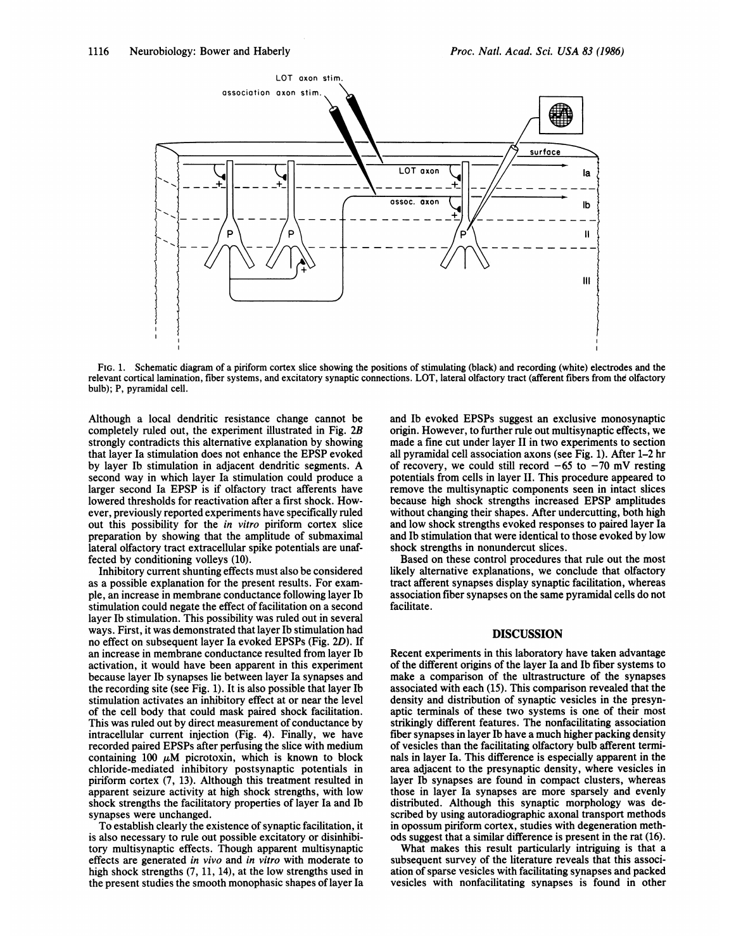

FIG. 1. Schematic diagram of a piriform cortex slice showing the positions of stimulating (black) and recording (white) electrodes and the relevant cortical lamination, fiber systems, and excitatory synaptic connections. LOT, lateral olfactory tract (afferent fibers from thd olfactory bulb); P, pyramidal cell.

Although a local dendritic resistance change cannot be completely ruled out, the experiment illustrated in Fig. 2B strongly contradicts this alternative explanation by showing that layer Ia stimulation does not enhance the EPSP evoked by layer lb stimulation in adjacent dendritic segments. A second way in which layer Ia stimulation could produce a larger second Ia EPSP is if olfactory tract afferents have lowered thresholds for reactivation after a first shock. However, previously reported experiments have specifically ruled out this possibility for the in vitro piriform cortex slice preparation by showing that the amplitude of submaximal lateral olfactory tract extracellular spike potentials are unaffected by conditioning volleys (10).

Inhibitory current shunting effects must also be considered as a possible explanation for the present results. For example, an increase in membrane conductance following layer lb stimulation could negate the effect of facilitation on a second layer lb stimulation. This possibility was ruled out in several ways. First, it was demonstrated that layer lb stimulation had no effect on subsequent layer Ia evoked EPSPs (Fig. 2D). If an increase in membrane conductance resulted from layer lb activation, it would have been apparent in this experiment because layer Tb synapses lie between layer Ia synapses and the recording site (see Fig. 1). It is also possible that layer lb stimulation activates an inhibitory effect at or near the level of the cell body that could mask paired shock facilitation. This was ruled out by direct measurement of conductance by intracellular current injection (Fig. 4). Finally, we have recorded paired EPSPs after perfusing the slice with medium containing 100  $\mu$ M picrotoxin, which is known to block chloride-mediated inhibitory postsynaptic potentials in piriform cortex (7, 13). Although this treatment resulted in apparent seizure activity at high shock strengths, with low shock strengths the facilitatory properties of layer Ia and lb synapses were unchanged.

To establish clearly the existence of synaptic facilitation, it is also necessary to rule out possible excitatory or disinhibitory multisynaptic effects. Though apparent multisynaptic effects are generated in vivo and in vitro with moderate to high shock strengths  $(7, 11, 14)$ , at the low strengths used in the present studies the smooth monophasic shapes of layer Ia and lb evoked EPSPs suggest an exclusive monosynaptic origin. However, to further rule out multisynaptic effects, we made a fine cut under layer II in two experiments to section all pyramidal cell association axons (see Fig. 1). After 1-2 hr of recovery, we could still record  $-65$  to  $-70$  mV resting potentials from cells in layer II. This procedure appeared to remove the multisynaptic components seen in intact slices because high shock strengths increased EPSP amplitudes without changing their shapes. After undercutting, both high and low shock strengths evoked responses to paired layer Ia and lb stimulation that were identical to those evoked by low shock strengths in nonundercut slices.

Based on these control procedures that rule out the most likely alternative explanations, we conclude that olfactory tract afferent synapses display synaptic facilitation, whereas association fiber synapses on the same pyramidal cells do not facilitate.

## DISCUSSION

Recent experiments in this laboratory have taken advantage of the different origins of the layer Ia and lb fiber systems to make a comparison of the ultrastructure of the synapses associated with each (15). This comparison revealed that the density and distribution of synaptic vesicles in the presynaptic terminals of these two systems is one of their most strikingly different features. The nonfacilitating association fiber synapses in layer lb have a much higher packing density of vesicles than the facilitating olfactory bulb afferent terminals in layer Ia. This difference is especially apparent in the area adjacent to the presynaptic density, where vesicles in layer lb synapses are found in compact clusters, whereas those in layer Ia synapses are more sparsely and evenly distributed. Although this synaptic morphology was described by using autoradiographic axonal transport methods in opossum piriform cortex, studies with degeneration methods suggest that a similar difference is present in the rat (16).

What makes this result particularly intriguing is that a subsequent survey of the literature reveals that this association of sparse vesicles with facilitating synapses and packed vesicles with nonfacilitating synapses is found in other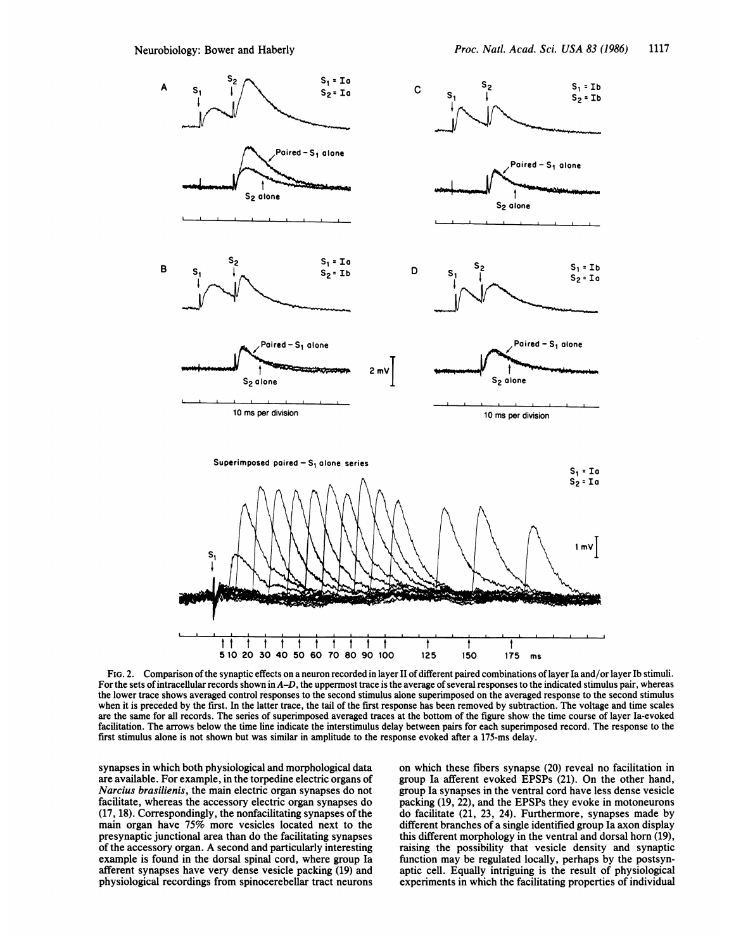

FIG. 2. Comparison of the synaptic effects on a neuron recorded in layer II of different paired combinations of layer la and/or layer Ib stimuli. For the sets of intracellular records shown in A-D, the uppermost trace is the average of several responses to the indicated stimulus pair, whereas the lower trace shows averaged control responses to the second stimulus alone superimposed on the averaged response to the second stimulus when it is preceded by the first. In the latter trace, the tail of the first response has been removed by subtraction. The voltage and time scales are the same for all records. The series of superimposed averaged traces at the bottom of the figure show the time course of layer Ia-evoked facilitation. The arrows below the time line indicate the interstimulus delay between pairs for each superimposed record. The response to the first stimulus alone is not shown but was similar in amplitude to the response evoked after a 175-ms delay.

synapses in which both physiological and morphological data are available. For example, in the torpedine electric organs of Narcius brasilienis, the main electric organ synapses do not facilitate, whereas the accessory electric organ synapses do (17, 18). Correspondingly, the nonfacilitating synapses of the main organ have 75% more vesicles located next to the presynaptic junctional area than do the facilitating synapses of the accessory organ. A second and particularly interesting example is found in the dorsal spinal cord, where group Ia afferent synapses have very dense vesicle packing (19) and physiological recordings from spinocerebellar tract neurons

on which these fibers synapse (20) reveal no facilitation in group Ia afferent evoked EPSPs (21). On the other hand, group Ia synapses in the ventral cord have less dense vesicle packing (19, 22), and the EPSPs they evoke in motoneurons do facilitate (21, 23, 24). Furthermore, synapses made by different branches of a single identified group Ia axon display this different morphology in the ventral and dorsal horn (19), raising the possibility that vesicle density and synaptic function may be regulated locally, perhaps by the postsynaptic cell. Equally intriguing is the result of physiological experiments in which the facilitating properties of individual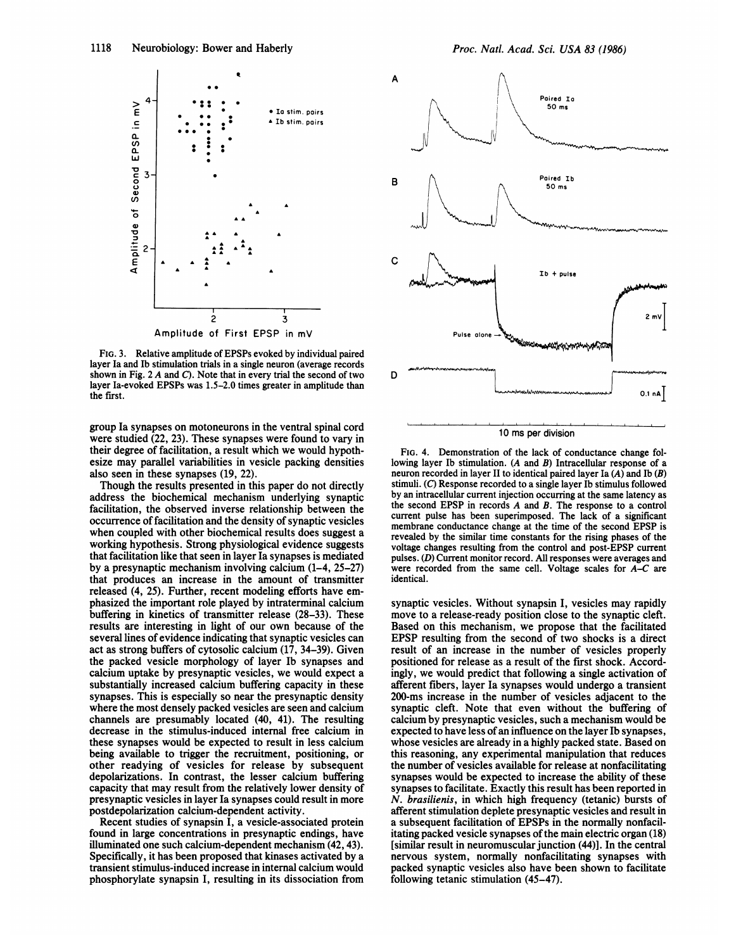

FIG. 3. Relative amplitude of EPSPs evoked by individual paired layer Ia and Tb stimulation trials in a single neuron (average records shown in Fig. 2  $A$  and  $C$ ). Note that in every trial the second of two layer Ia-evoked EPSPs was 1.5-2.0 times greater in amplitude than the first.

group Ia synapses on motoneurons in the ventral spinal cord were studied (22, 23). These synapses were found to vary in their degree of facilitation, a result which we would hypothesize may parallel variabilities in vesicle packing densities also seen in these synapses (19, 22).

Though the results presented in this paper do not directly address the biochemical mechanism underlying synaptic facilitation, the observed inverse relationship between the occurrence of facilitation and the density of synaptic vesicles when coupled with other biochemical results does suggest a working hypothesis. Strong physiological evidence suggests that facilitation like that seen in layer Ia synapses is mediated by a presynaptic mechanism involving calcium (1-4, 25-27) that produces an increase in the amount of transmitter released (4, 25). Further, recent modeling efforts have emphasized the important role played by intraterminal calcium buffering in kinetics of transmitter release (28-33). These results are interesting in light of our own because of the several lines of evidence indicating that synaptic vesicles can act as strong buffers of cytosolic calcium (17, 34-39). Given the packed vesicle morphology of layer Ib synapses and calcium uptake by presynaptic vesicles, we would expect a substantially increased calcium buffering capacity in these synapses. This is especially so near the presynaptic density where the most densely packed vesicles are seen and calcium channels are presumably located (40, 41). The resulting decrease in the stimulus-induced internal free calcium in these synapses would be expected to result in less calcium being available to trigger the recruitment, positioning, or other readying of vesicles for release by subsequent depolarizations. In contrast, the lesser calcium buffering capacity that may result from the relatively lower density of presynaptic vesicles in layer Ia synapses could result in more postdepolarization calcium-dependent activity.

Recent studies of synapsin I, a vesicle-associated protein found in large concentrations in presynaptic endings, have illuminated one such calcium-dependent mechanism (42, 43). Specifically, it has been proposed that kinases activated by a transient stimulus-induced increase in internal calcium would phosphorylate synapsin I, resulting in its dissociation from



10 ms per division

FIG. 4. Demonstration of the lack of conductance change following layer Ib stimulation. (A and B) Intracellular response of a neuron recorded in layer II to identical paired layer Ia (A) and Ib (B) stimuli. (C) Response recorded to a single layer Ib stimulus followed by an intracellular current injection occurring at the same latency as the second EPSP in records  $A$  and  $B$ . The response to a control current pulse has been superimposed. The lack of a significant membrane conductance change at the time of the second EPSP is revealed by the similar time constants for the rising phases of the voltage changes resulting from the control and post-EPSP current pulses. (D) Current monitor record. All responses were averages and were recorded from the same cell. Voltage scales for A-C are identical.

synaptic vesicles. Without synapsin I, vesicles may rapidly move to a release-ready position close to the synaptic cleft. Based on this mechanism, we propose that the facilitated EPSP resulting from the second of two shocks is a direct result of an increase in the number of vesicles properly positioned for release as a result of the first shock. Accordingly, we would predict that following a single activation of afferent fibers, layer Ia synapses would undergo a transient 200-ms increase in the number of vesicles adjacent to the synaptic cleft. Note that even without the buffering of calcium by presynaptic vesicles, such a mechanism would be expected to have less of an influence on the layer Ib synapses, whose vesicles are already in a highly packed state. Based on this reasoning, any experimental manipulation that reduces the number of vesicles available for release at nonfacilitating synapses would be expected to increase the ability of these synapses to facilitate. Exactly this result has been reported in N. brasilienis, in which high frequency (tetanic) bursts of afferent stimulation deplete presynaptic vesicles and result in a subsequent facilitation of EPSPs in the normally nonfacilitating packed vesicle synapses of the main electric organ (18) [similar result in neuromuscular junction (44)]. In the central nervous system, normally nonfacilitating synapses with packed synaptic vesicles also have been shown to facilitate following tetanic stimulation (45-47).